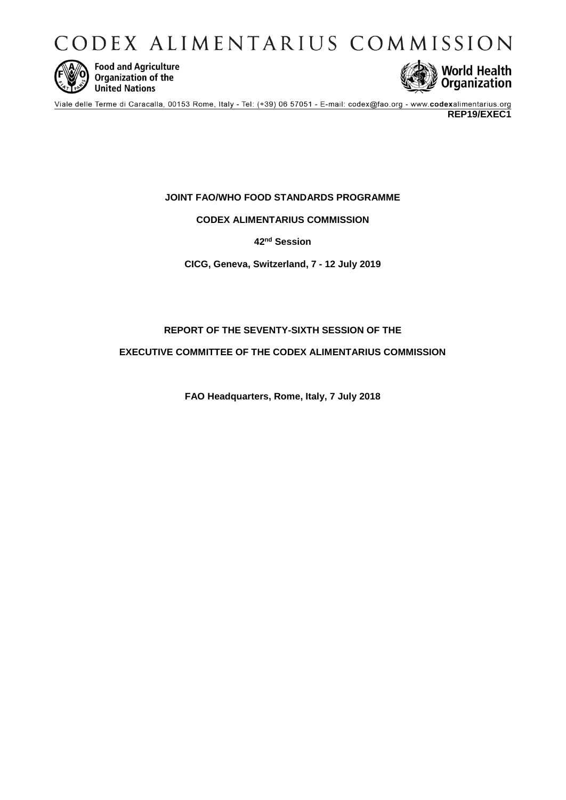CODEX ALIMENTARIUS COMMISSION



**Food and Agriculture**<br>Organization of the **United Nations** 



Viale delle Terme di Caracalla, 00153 Rome, Italy - Tel: (+39) 06 57051 - E-mail: codex@fao.org - www.codexalimentarius.org **REP19/EXEC1**

# **JOINT FAO/WHO FOOD STANDARDS PROGRAMME**

# **CODEX ALIMENTARIUS COMMISSION**

**42nd Session**

**CICG, Geneva, Switzerland, 7 - 12 July 2019**

# **REPORT OF THE SEVENTY-SIXTH SESSION OF THE**

**EXECUTIVE COMMITTEE OF THE CODEX ALIMENTARIUS COMMISSION**

**FAO Headquarters, Rome, Italy, 7 July 2018**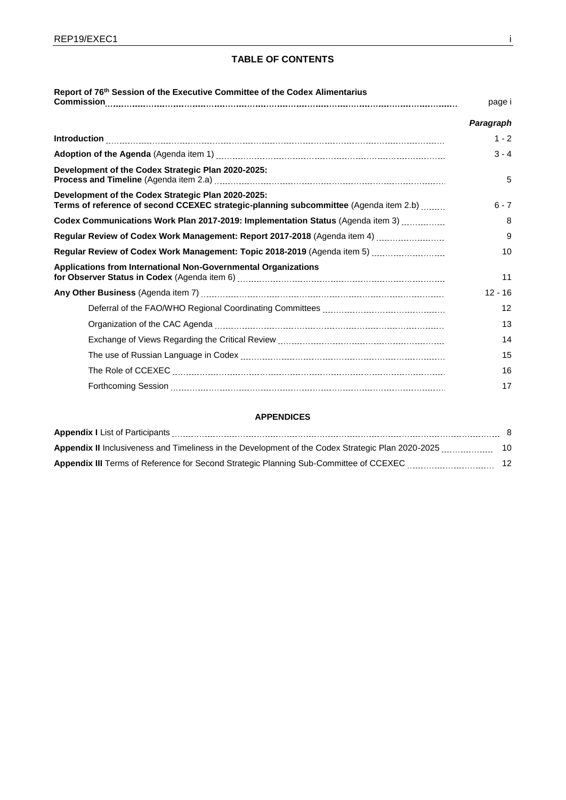# **TABLE OF CONTENTS**

| Report of 76th Session of the Executive Committee of the Codex Alimentarius                                                                                                                                                                                                                                                                                                                                                                                                                          | page i    |
|------------------------------------------------------------------------------------------------------------------------------------------------------------------------------------------------------------------------------------------------------------------------------------------------------------------------------------------------------------------------------------------------------------------------------------------------------------------------------------------------------|-----------|
|                                                                                                                                                                                                                                                                                                                                                                                                                                                                                                      | Paragraph |
| $\label{eq:interoduction} \text{Introduction} \underset{1}{\underbrace{\hspace{1cm}}} \text{{}.\hspace{1cm}} \text{{}.\hspace{1cm}} \text{{}.\hspace{1cm}} \text{{}.\hspace{1cm}} \text{{}.\hspace{1cm}} \text{{}.\hspace{1cm}} \text{{}.\hspace{1cm}} \text{{}.\hspace{1cm}} \text{{}.\hspace{1cm}} \text{{}.\hspace{1cm}} \text{{}.\hspace{1cm}} \text{{}.\hspace{1cm}} \text{{}.\hspace{1cm}} \text{{}.\hspace{1cm}} \text{{}.\hspace{1cm}} \text{{}.\hspace{1cm}} \text{{}.\hspace{1cm}} \text{$ | $1 - 2$   |
|                                                                                                                                                                                                                                                                                                                                                                                                                                                                                                      | $3 - 4$   |
| Development of the Codex Strategic Plan 2020-2025:                                                                                                                                                                                                                                                                                                                                                                                                                                                   | 5         |
| Development of the Codex Strategic Plan 2020-2025:<br>Terms of reference of second CCEXEC strategic-planning subcommittee (Agenda item 2.b)                                                                                                                                                                                                                                                                                                                                                          | $6 - 7$   |
| Codex Communications Work Plan 2017-2019: Implementation Status (Agenda item 3)                                                                                                                                                                                                                                                                                                                                                                                                                      | 8         |
| Regular Review of Codex Work Management: Report 2017-2018 (Agenda item 4)                                                                                                                                                                                                                                                                                                                                                                                                                            | 9         |
| Regular Review of Codex Work Management: Topic 2018-2019 (Agenda item 5)                                                                                                                                                                                                                                                                                                                                                                                                                             | 10        |
| <b>Applications from International Non-Governmental Organizations</b>                                                                                                                                                                                                                                                                                                                                                                                                                                | 11        |
|                                                                                                                                                                                                                                                                                                                                                                                                                                                                                                      | $12 - 16$ |
|                                                                                                                                                                                                                                                                                                                                                                                                                                                                                                      | 12        |
|                                                                                                                                                                                                                                                                                                                                                                                                                                                                                                      | 13        |
|                                                                                                                                                                                                                                                                                                                                                                                                                                                                                                      | 14        |
|                                                                                                                                                                                                                                                                                                                                                                                                                                                                                                      | 15        |
|                                                                                                                                                                                                                                                                                                                                                                                                                                                                                                      | 16        |
|                                                                                                                                                                                                                                                                                                                                                                                                                                                                                                      | 17        |

### **APPENDICES**

| <b>Appendix II</b> Inclusiveness and Timeliness in the Development of the Codex Strategic Plan 2020-2025 | 10 |
|----------------------------------------------------------------------------------------------------------|----|
| <b>Appendix III</b> Terms of Reference for Second Strategic Planning Sub-Committee of CCEXEC             | 12 |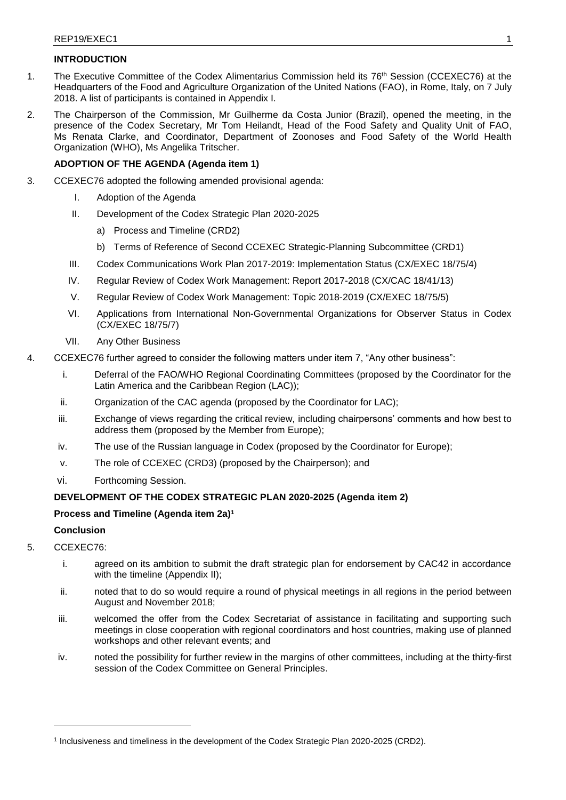# **INTRODUCTION**

- 1. The Executive Committee of the Codex Alimentarius Commission held its 76th Session (CCEXEC76) at the Headquarters of the Food and Agriculture Organization of the United Nations (FAO), in Rome, Italy, on 7 July 2018. A list of participants is contained in Appendix I.
- 2. The Chairperson of the Commission, Mr Guilherme da Costa Junior (Brazil), opened the meeting, in the presence of the Codex Secretary, Mr Tom Heilandt, Head of the Food Safety and Quality Unit of FAO, Ms Renata Clarke, and Coordinator, Department of Zoonoses and Food Safety of the World Health Organization (WHO), Ms Angelika Tritscher.

# **ADOPTION OF THE AGENDA (Agenda item 1)**

- 3. CCEXEC76 adopted the following amended provisional agenda:
	- I. Adoption of the Agenda
	- II. Development of the Codex Strategic Plan 2020-2025
		- a) Process and Timeline (CRD2)
		- b) Terms of Reference of Second CCEXEC Strategic-Planning Subcommittee (CRD1)
	- III. Codex Communications Work Plan 2017-2019: Implementation Status (CX/EXEC 18/75/4)
	- IV. Regular Review of Codex Work Management: Report 2017-2018 (CX/CAC 18/41/13)
	- V. Regular Review of Codex Work Management: Topic 2018-2019 (CX/EXEC 18/75/5)
	- VI. Applications from International Non-Governmental Organizations for Observer Status in Codex (CX/EXEC 18/75/7)
	- VII. Any Other Business
- 4. CCEXEC76 further agreed to consider the following matters under item 7, "Any other business":
	- i. Deferral of the FAO/WHO Regional Coordinating Committees (proposed by the Coordinator for the Latin America and the Caribbean Region (LAC));
	- ii. Organization of the CAC agenda (proposed by the Coordinator for LAC);
	- iii. Exchange of views regarding the critical review, including chairpersons' comments and how best to address them (proposed by the Member from Europe);
	- iv. The use of the Russian language in Codex (proposed by the Coordinator for Europe);
	- v. The role of CCEXEC (CRD3) (proposed by the Chairperson); and
	- vi. Forthcoming Session.

# **DEVELOPMENT OF THE CODEX STRATEGIC PLAN 2020-2025 (Agenda item 2)**

# **Process and Timeline (Agenda item 2a)<sup>1</sup>**

# **Conclusion**

- 5. CCEXEC76:
	- i. agreed on its ambition to submit the draft strategic plan for endorsement by CAC42 in accordance with the timeline (Appendix II);
	- ii. noted that to do so would require a round of physical meetings in all regions in the period between August and November 2018;
	- iii. welcomed the offer from the Codex Secretariat of assistance in facilitating and supporting such meetings in close cooperation with regional coordinators and host countries, making use of planned workshops and other relevant events; and
	- iv. noted the possibility for further review in the margins of other committees, including at the thirty-first session of the Codex Committee on General Principles.

<sup>1</sup> Inclusiveness and timeliness in the development of the Codex Strategic Plan 2020-2025 (CRD2).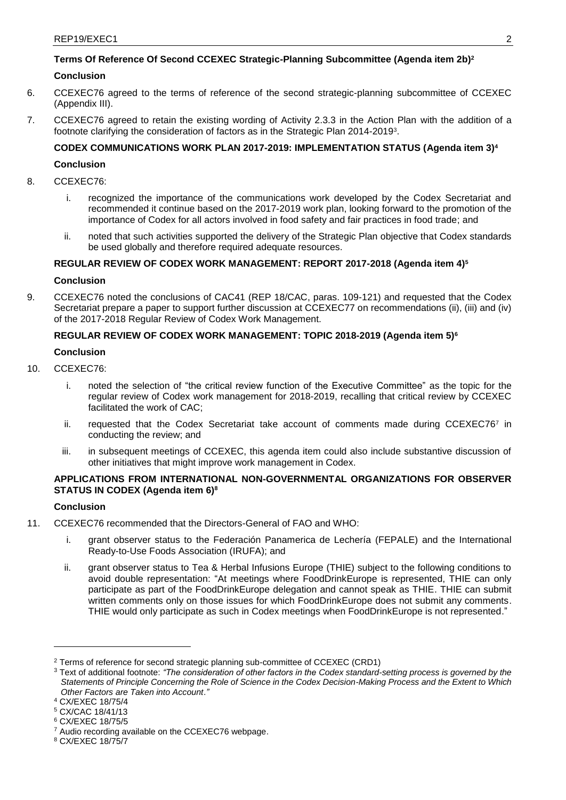# **Terms Of Reference Of Second CCEXEC Strategic-Planning Subcommittee (Agenda item 2b) 2**

# **Conclusion**

- 6. CCEXEC76 agreed to the terms of reference of the second strategic-planning subcommittee of CCEXEC (Appendix III).
- 7. CCEXEC76 agreed to retain the existing wording of Activity 2.3.3 in the Action Plan with the addition of a footnote clarifying the consideration of factors as in the Strategic Plan 2014-2019<sup>3</sup> .

# **CODEX COMMUNICATIONS WORK PLAN 2017-2019: IMPLEMENTATION STATUS (Agenda item 3)<sup>4</sup>**

### **Conclusion**

- 8. CCEXEC76:
	- i. recognized the importance of the communications work developed by the Codex Secretariat and recommended it continue based on the 2017-2019 work plan, looking forward to the promotion of the importance of Codex for all actors involved in food safety and fair practices in food trade; and
	- ii. noted that such activities supported the delivery of the Strategic Plan objective that Codex standards be used globally and therefore required adequate resources.

# **REGULAR REVIEW OF CODEX WORK MANAGEMENT: REPORT 2017-2018 (Agenda item 4)<sup>5</sup>**

## **Conclusion**

9. CCEXEC76 noted the conclusions of CAC41 (REP 18/CAC, paras. 109-121) and requested that the Codex Secretariat prepare a paper to support further discussion at CCEXEC77 on recommendations (ii), (iii) and (iv) of the 2017-2018 Regular Review of Codex Work Management.

## **REGULAR REVIEW OF CODEX WORK MANAGEMENT: TOPIC 2018-2019 (Agenda item 5)<sup>6</sup>**

### **Conclusion**

- 10. CCEXEC76:
	- i. noted the selection of "the critical review function of the Executive Committee" as the topic for the regular review of Codex work management for 2018-2019, recalling that critical review by CCEXEC facilitated the work of CAC;
	- ii. requested that the Codex Secretariat take account of comments made during CCEXEC767 in conducting the review; and
	- iii. in subsequent meetings of CCEXEC, this agenda item could also include substantive discussion of other initiatives that might improve work management in Codex.

# **APPLICATIONS FROM INTERNATIONAL NON-GOVERNMENTAL ORGANIZATIONS FOR OBSERVER STATUS IN CODEX (Agenda item 6) 8**

# **Conclusion**

- 11. CCEXEC76 recommended that the Directors-General of FAO and WHO:
	- i. grant observer status to the Federación Panamerica de Lechería (FEPALE) and the International Ready-to-Use Foods Association (IRUFA); and
	- ii. grant observer status to Tea & Herbal Infusions Europe (THIE) subject to the following conditions to avoid double representation: "At meetings where FoodDrinkEurope is represented, THIE can only participate as part of the FoodDrinkEurope delegation and cannot speak as THIE. THIE can submit written comments only on those issues for which FoodDrinkEurope does not submit any comments. THIE would only participate as such in Codex meetings when FoodDrinkEurope is not represented."

<sup>&</sup>lt;sup>2</sup> Terms of reference for second strategic planning sub-committee of CCEXEC (CRD1)

<sup>3</sup> Text of additional footnote: *"The consideration of other factors in the Codex standard-setting process is governed by the Statements of Principle Concerning the Role of Science in the Codex Decision-Making Process and the Extent to Which Other Factors are Taken into Account*.*"*

<sup>4</sup> CX/EXEC 18/75/4

<sup>5</sup> CX/CAC 18/41/13

<sup>6</sup> CX/EXEC 18/75/5

<sup>7</sup> Audio recording available on the CCEXEC76 webpage.

<sup>8</sup> CX/EXEC 18/75/7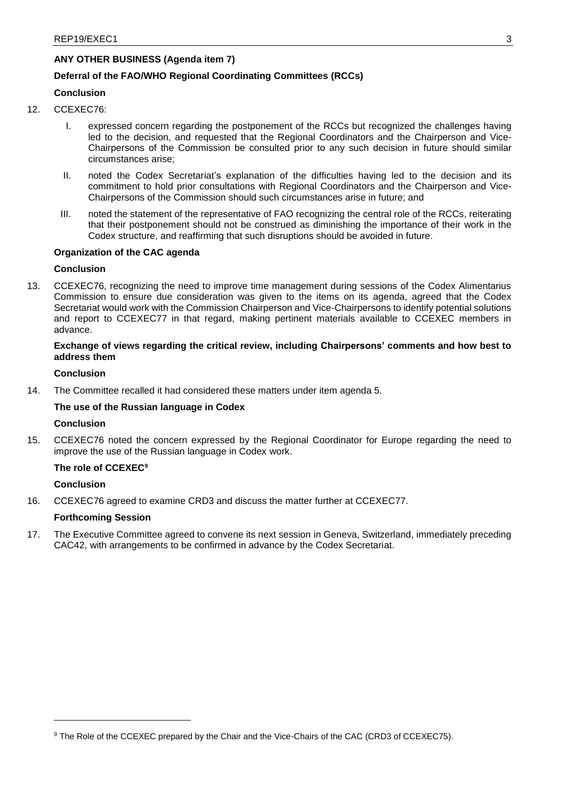# **ANY OTHER BUSINESS (Agenda item 7)**

# **Deferral of the FAO/WHO Regional Coordinating Committees (RCCs)**

# **Conclusion**

- 12. CCEXEC76:
	- I. expressed concern regarding the postponement of the RCCs but recognized the challenges having led to the decision, and requested that the Regional Coordinators and the Chairperson and Vice-Chairpersons of the Commission be consulted prior to any such decision in future should similar circumstances arise;
	- II. noted the Codex Secretariat's explanation of the difficulties having led to the decision and its commitment to hold prior consultations with Regional Coordinators and the Chairperson and Vice-Chairpersons of the Commission should such circumstances arise in future; and
	- III. noted the statement of the representative of FAO recognizing the central role of the RCCs, reiterating that their postponement should not be construed as diminishing the importance of their work in the Codex structure, and reaffirming that such disruptions should be avoided in future.

## **Organization of the CAC agenda**

### **Conclusion**

13. CCEXEC76, recognizing the need to improve time management during sessions of the Codex Alimentarius Commission to ensure due consideration was given to the items on its agenda, agreed that the Codex Secretariat would work with the Commission Chairperson and Vice-Chairpersons to identify potential solutions and report to CCEXEC77 in that regard, making pertinent materials available to CCEXEC members in advance.

# **Exchange of views regarding the critical review, including Chairpersons' comments and how best to address them**

### **Conclusion**

14. The Committee recalled it had considered these matters under item agenda 5.

# **The use of the Russian language in Codex**

### **Conclusion**

15. CCEXEC76 noted the concern expressed by the Regional Coordinator for Europe regarding the need to improve the use of the Russian language in Codex work.

### **The role of CCEXEC<sup>9</sup>**

**Conclusion**

16. CCEXEC76 agreed to examine CRD3 and discuss the matter further at CCEXEC77.

### **Forthcoming Session**

17. The Executive Committee agreed to convene its next session in Geneva, Switzerland, immediately preceding CAC42, with arrangements to be confirmed in advance by the Codex Secretariat.

<sup>&</sup>lt;sup>9</sup> The Role of the CCEXEC prepared by the Chair and the Vice-Chairs of the CAC (CRD3 of CCEXEC75).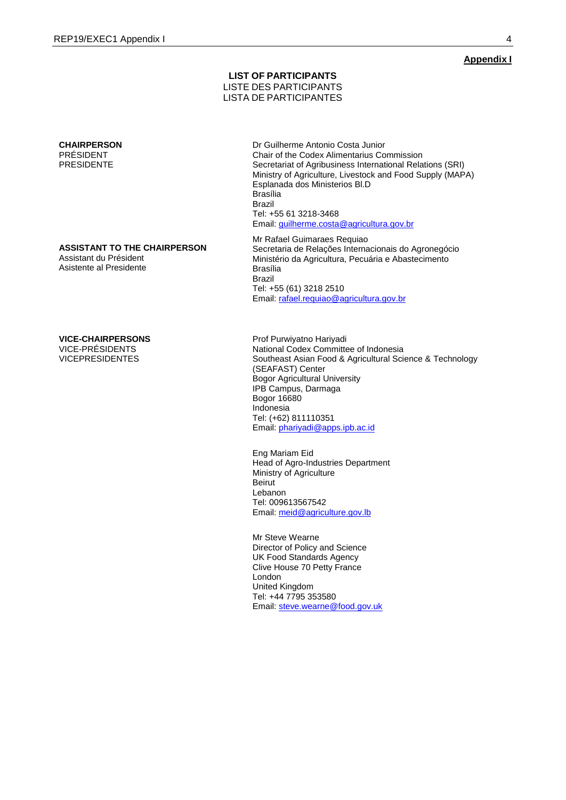#### **LIST OF PARTICIPANTS** LISTE DES PARTICIPANTS LISTA DE PARTICIPANTES

#### **CHAIRPERSON** PRÉSIDENT PRESIDENTE

**ASSISTANT TO THE CHAIRPERSON**

Assistant du Président Asistente al Presidente

#### **VICE-CHAIRPERSONS**

VICE-PRÉSIDENTS VICEPRESIDENTES Dr Guilherme Antonio Costa Junior Chair of the Codex Alimentarius Commission Secretariat of Agribusiness International Relations (SRI) Ministry of Agriculture, Livestock and Food Supply (MAPA) Esplanada dos Ministerios Bl.D Brasília Brazil Tel: +55 61 3218-3468 Email[: guilherme.costa@agricultura.gov.br](mailto:guilherme.costa@agricultura.gov.br)

Mr Rafael Guimaraes Requiao Secretaria de Relações Internacionais do Agronegócio Ministério da Agricultura, Pecuária e Abastecimento Brasília Brazil Tel: +55 (61) 3218 2510 Email[: rafael.requiao@agricultura.gov.br](mailto:rafael.requiao@agricultura.gov.br)

Prof Purwiyatno Hariyadi National Codex Committee of Indonesia Southeast Asian Food & Agricultural Science & Technology (SEAFAST) Center Bogor Agricultural University IPB Campus, Darmaga Bogor 16680 Indonesia Tel: (+62) 811110351 Email[: phariyadi@apps.ipb.ac.id](mailto:phariyadi@apps.ipb.ac.id)

Eng Mariam Eid Head of Agro-Industries Department Ministry of Agriculture Beirut Lebanon Tel: 009613567542 Email[: meid@agriculture.gov.lb](mailto:meid@agriculture.gov.lb)

Mr Steve Wearne Director of Policy and Science UK Food Standards Agency Clive House 70 Petty France London United Kingdom Tel: +44 7795 353580 Email[: steve.wearne@food.gov.uk](mailto:steve.wearne@food.gov.uk)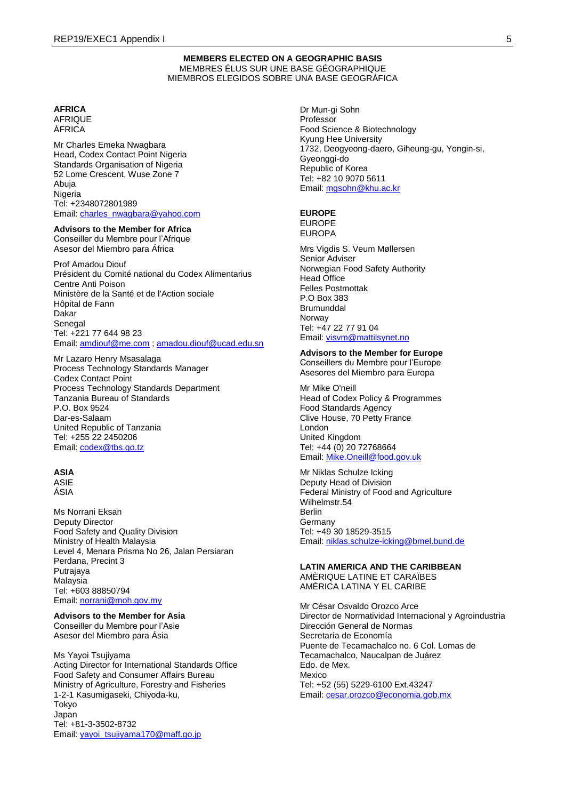#### **MEMBERS ELECTED ON A GEOGRAPHIC BASIS** MEMBRES ÉLUS SUR UNE BASE GÉOGRAPHIQUE MIEMBROS ELEGIDOS SOBRE UNA BASE GEOGRÁFICA

# **AFRICA**

AFRIQUE ÁFRICA

Mr Charles Emeka Nwagbara Head, Codex Contact Point Nigeria Standards Organisation of Nigeria 52 Lome Crescent, Wuse Zone 7 Abuja **Nigeria** Tel: +2348072801989 Email: [charles\\_nwagbara@yahoo.com](mailto:charles_nwagbara@yahoo.com)

## **Advisors to the Member for Africa**

Conseiller du Membre pour l'Afrique Asesor del Miembro para África

#### Prof Amadou Diouf

Président du Comité national du Codex Alimentarius Centre Anti Poison Ministère de la Santé et de l'Action sociale Hôpital de Fann Dakar Senegal Tel: +221 77 644 98 23 Email: [amdiouf@me.com](mailto:amdiouf@me.com) ; [amadou.diouf@ucad.edu.sn](mailto:amadou.diouf@ucad.edu.sn)

Mr Lazaro Henry Msasalaga Process Technology Standards Manager Codex Contact Point Process Technology Standards Department Tanzania Bureau of Standards P.O. Box 9524 Dar-es-Salaam United Republic of Tanzania Tel: +255 22 2450206 Email: [codex@tbs.go.tz](mailto:codex@tbs.go.tz)

### **ASIA**

ASIE ÁSIA

Ms Norrani Eksan Deputy Director Food Safety and Quality Division Ministry of Health Malaysia Level 4, Menara Prisma No 26, Jalan Persiaran Perdana, Precint 3 Putrajaya Malaysia Tel: +603 88850794 Email: [norrani@moh.gov.my](mailto:norrani@moh.gov.my)

#### **Advisors to the Member for Asia** Conseiller du Membre pour l'Asie

Asesor del Miembro para Ásia

Ms Yayoi Tsujiyama Acting Director for International Standards Office Food Safety and Consumer Affairs Bureau Ministry of Agriculture, Forestry and Fisheries 1-2-1 Kasumigaseki, Chiyoda-ku, Tokyo Japan Tel: +81-3-3502-8732 Email: [yayoi\\_tsujiyama170@maff.go.jp](mailto:yayoi_tsujiyama170@maff.go.jp)

Dr Mun-gi Sohn Professor Food Science & Biotechnology Kyung Hee University 1732, Deogyeong-daero, Giheung-gu, Yongin-si, Gyeonggi-do Republic of Korea Tel: +82 10 9070 5611 Email: [mgsohn@khu.ac.kr](mailto:mgsohn@khu.ac.kr)

#### **EUROPE**

EUROPE EUROPA

Mrs Vigdis S. Veum Møllersen Senior Adviser Norwegian Food Safety Authority Head Office Felles Postmottak P.O Box 383 **Brumunddal** Norway Tel: +47 22 77 91 04 Email: [visvm@mattilsynet.no](mailto:visvm@mattilsynet.no)

#### **Advisors to the Member for Europe**

Conseillers du Membre pour l'Europe Asesores del Miembro para Europa

Mr Mike O'neill Head of Codex Policy & Programmes Food Standards Agency Clive House, 70 Petty France London United Kingdom Tel: +44 (0) 20 72768664 Email: [Mike.Oneill@food.gov.uk](mailto:Mike.Oneill@food.gov.uk)

Mr Niklas Schulze Icking Deputy Head of Division Federal Ministry of Food and Agriculture Wilhelmstr.54 Berlin Germany Tel: +49 30 18529-3515 Email: [niklas.schulze-icking@bmel.bund.de](mailto:niklas.schulze-icking@bmel.bund.de)

#### **LATIN AMERICA AND THE CARIBBEAN** AMÈRIQUE LATINE ET CARAÏBES AMÉRICA LATINA Y EL CARIBE

Mr César Osvaldo Orozco Arce Director de Normatividad Internacional y Agroindustria Dirección General de Normas Secretaría de Economía Puente de Tecamachalco no. 6 Col. Lomas de Tecamachalco, Naucalpan de Juárez Edo. de Mex. Mexico Tel: +52 (55) 5229-6100 Ext.43247 Email: [cesar.orozco@economia.gob.mx](mailto:cesar.orozco@economia.gob.mx)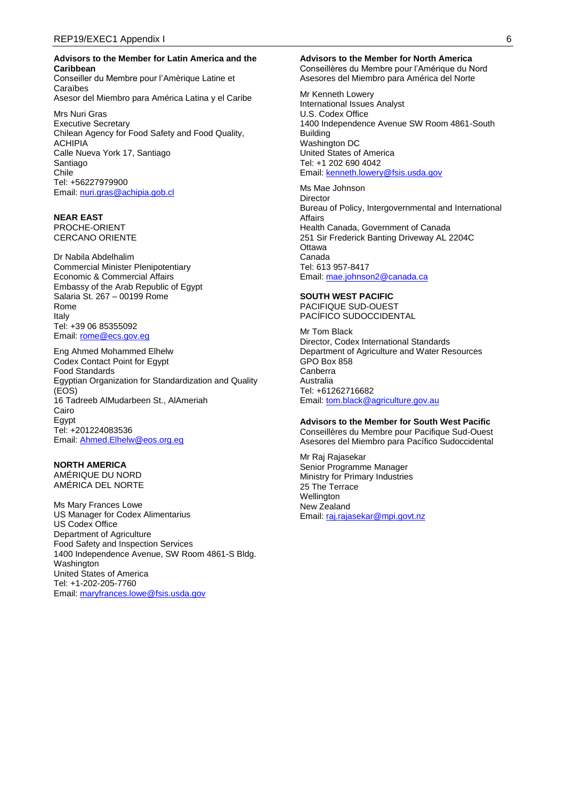#### **Advisors to the Member for Latin America and the Caribbean**

Conseiller du Membre pour l'Amèrique Latine et Caraïbes Asesor del Miembro para América Latina y el Caribe

Mrs Nuri Gras Executive Secretary Chilean Agency for Food Safety and Food Quality, ACHIPIA Calle Nueva York 17, Santiago Santiago Chile Tel: +56227979900 Email: [nuri.gras@achipia.gob.cl](mailto:nuri.gras@achipia.gob.cl)

#### **NEAR EAST**  PROCHE-ORIENT

CERCANO ORIENTE

Dr Nabila Abdelhalim Commercial Minister Plenipotentiary Economic & Commercial Affairs Embassy of the Arab Republic of Egypt Salaria St. 267 – 00199 Rome Rome Italy Tel: +39 06 85355092 Email: [rome@ecs.gov.eg](mailto:rome@ecs.gov.eg)

Eng Ahmed Mohammed Elhelw Codex Contact Point for Egypt Food Standards Egyptian Organization for Standardization and Quality (EOS) 16 Tadreeb AlMudarbeen St., AlAmeriah Cairo Egypt Tel: +201224083536 Email: [Ahmed.Elhelw@eos.org.eg](mailto:Ahmed.Elhelw@eos.org.eg)

#### **NORTH AMERICA**  AMÉRIQUE DU NORD

AMÉRICA DEL NORTE

Ms Mary Frances Lowe US Manager for Codex Alimentarius US Codex Office Department of Agriculture Food Safety and Inspection Services 1400 Independence Avenue, SW Room 4861-S Bldg. Washington United States of America Tel: +1-202-205-7760 Email: [maryfrances.lowe@fsis.usda.gov](mailto:maryfrances.lowe@fsis.usda.gov)

#### **Advisors to the Member for North America**

Conseillères du Membre pour l'Amérique du Nord Asesores del Miembro para América del Norte

Mr Kenneth Lowery International Issues Analyst U.S. Codex Office 1400 Independence Avenue SW Room 4861-South Building Washington DC United States of America Tel: +1 202 690 4042 Email: [kenneth.lowery@fsis.usda.gov](mailto:kenneth.lowery@fsis.usda.gov)

Ms Mae Johnson **Director** Bureau of Policy, Intergovernmental and International Affairs Health Canada, Government of Canada 251 Sir Frederick Banting Driveway AL 2204C **Ottawa** Canada Tel: 613 957-8417 Email: [mae.johnson2@canada.ca](mailto:mae.johnson2@canada.ca)

#### **SOUTH WEST PACIFIC**  PACIFIQUE SUD-OUEST

PACÍFICO SUDOCCIDENTAL

Mr Tom Black Director, Codex International Standards Department of Agriculture and Water Resources GPO Box 858 Canberra Australia Tel: +61262716682 Email: [tom.black@agriculture.gov.au](mailto:tom.black@agriculture.gov.au)

### **Advisors to the Member for South West Pacific**

Conseillères du Membre pour Pacifique Sud-Ouest Asesores del Miembro para Pacífico Sudoccidental

Mr Raj Rajasekar Senior Programme Manager Ministry for Primary Industries 25 The Terrace **Wellington** New Zealand Email: [raj.rajasekar@mpi.govt.nz](mailto:raj.rajasekar@mpi.govt.nz)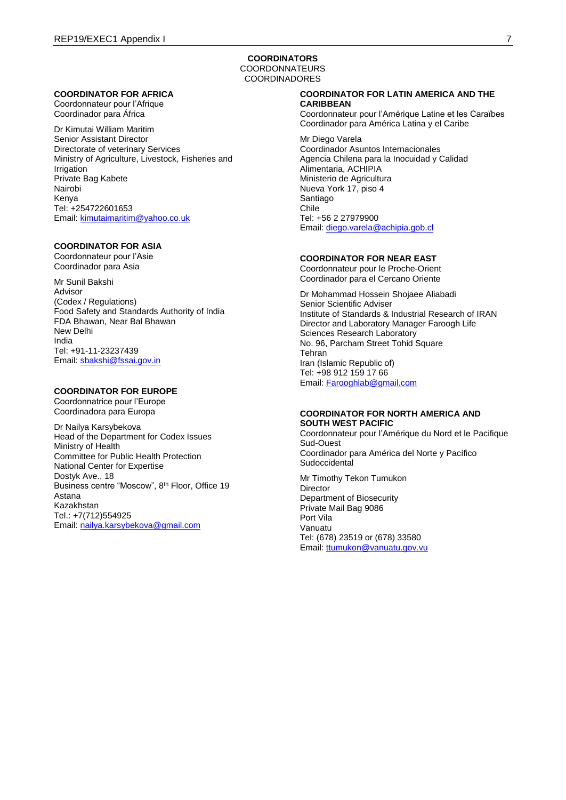#### **COORDINATORS** COORDONNATEURS **COORDINADORES**

#### **COORDINATOR FOR AFRICA**

Coordonnateur pour l'Afrique Coordinador para África

Dr Kimutai William Maritim Senior Assistant Director Directorate of veterinary Services Ministry of Agriculture, Livestock, Fisheries and Irrigation Private Bag Kabete Nairobi Kenya Tel: +254722601653 Email: [kimutaimaritim@yahoo.co.uk](mailto:kimutaimaritim@yahoo.co.uk)

# **COORDINATOR FOR ASIA**

Coordonnateur pour l'Asie Coordinador para Asia

Mr Sunil Bakshi Advisor (Codex / Regulations) Food Safety and Standards Authority of India FDA Bhawan, Near Bal Bhawan New Delhi India Tel: +91-11-23237439 Email: [sbakshi@fssai.gov.in](mailto:sbakshi@fssai.gov.in)

### **COORDINATOR FOR EUROPE**

Coordonnatrice pour l'Europe Coordinadora para Europa

Dr Nailya Karsybekova Head of the Department for Codex Issues Ministry of Health Committee for Public Health Protection National Center for Expertise Dostyk Ave., 18 Business centre "Moscow", 8th Floor, Office 19 Astana Kazakhstan Tel.: +7(712)554925 Email: [nailya.karsybekova@gmail.com](mailto:nailya.karsybekova@gmail.com)

#### **COORDINATOR FOR LATIN AMERICA AND THE CARIBBEAN**

Coordonnateur pour l'Amérique Latine et les Caraïbes Coordinador para América Latina y el Caribe

Mr Diego Varela Coordinador Asuntos Internacionales Agencia Chilena para la Inocuidad y Calidad Alimentaria, ACHIPIA Ministerio de Agricultura Nueva York 17, piso 4 Santiago Chile Tel: +56 2 27979900 Email: [diego.varela@achipia.gob.cl](mailto:diego.varela@achipia.gob.cl)

#### **COORDINATOR FOR NEAR EAST**

Coordonnateur pour le Proche-Orient Coordinador para el Cercano Oriente

Dr Mohammad Hossein Shojaee Aliabadi Senior Scientific Adviser Institute of Standards & Industrial Research of IRAN Director and Laboratory Manager Faroogh Life Sciences Research Laboratory No. 96, Parcham Street Tohid Square Tehran Iran (Islamic Republic of) Tel: +98 912 159 17 66 Email: [Farooghlab@gmail.com](mailto:Farooghlab@gmail.com)

#### **COORDINATOR FOR NORTH AMERICA AND SOUTH WEST PACIFIC**

Coordonnateur pour l'Amérique du Nord et le Pacifique Sud-Ouest Coordinador para América del Norte y Pacífico **Sudoccidental** 

Mr Timothy Tekon Tumukon **Director** Department of Biosecurity Private Mail Bag 9086 Port Vila Vanuatu Tel: (678) 23519 or (678) 33580 Email: [ttumukon@vanuatu.gov.vu](mailto:ttumukon@vanuatu.gov.vu)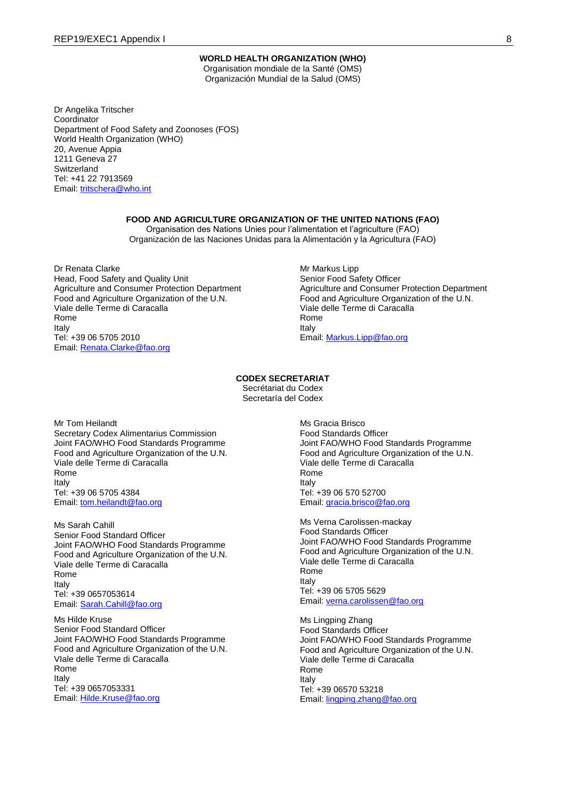#### **WORLD HEALTH ORGANIZATION (WHO)**

Organisation mondiale de la Santé (OMS) Organización Mundial de la Salud (OMS)

Dr Angelika Tritscher **Coordinator** Department of Food Safety and Zoonoses (FOS) World Health Organization (WHO) 20, Avenue Appia 1211 Geneva 27 **Switzerland** Tel: +41 22 7913569 Email: [tritschera@who.int](mailto:tritschera@who.int)

# **FOOD AND AGRICULTURE ORGANIZATION OF THE UNITED NATIONS (FAO)**

Organisation des Nations Unies pour l'alimentation et l'agriculture (FAO) Organización de las Naciones Unidas para la Alimentación y la Agricultura (FAO)

Dr Renata Clarke Head, Food Safety and Quality Unit Agriculture and Consumer Protection Department Food and Agriculture Organization of the U.N. Viale delle Terme di Caracalla Rome Italy Tel: +39 06 5705 2010 Email: [Renata.Clarke@fao.org](mailto:Renata.Clarke@fao.org)

Mr Markus Lipp Senior Food Safety Officer Agriculture and Consumer Protection Department Food and Agriculture Organization of the U.N. Viale delle Terme di Caracalla Rome Italy Email: [Markus.Lipp@fao.org](mailto:Markus.Lipp@fao.org)

#### **CODEX SECRETARIAT**

Secrétariat du Codex Secretaría del Codex

Mr Tom Heilandt Secretary Codex Alimentarius Commission Joint FAO/WHO Food Standards Programme Food and Agriculture Organization of the U.N. Viale delle Terme di Caracalla Rome Italy Tel: +39 06 5705 4384 Email: [tom.heilandt@fao.org](mailto:tom.heilandt@fao.org)

Ms Sarah Cahill Senior Food Standard Officer Joint FAO/WHO Food Standards Programme Food and Agriculture Organization of the U.N. Viale delle Terme di Caracalla Rome Italy Tel: +39 0657053614 Email: [Sarah.Cahill@fao.org](mailto:Sarah.Cahill@fao.org)

Ms Hilde Kruse Senior Food Standard Officer Joint FAO/WHO Food Standards Programme Food and Agriculture Organization of the U.N. VIale delle Terme di Caracalla Rome Italy Tel: +39 0657053331 Email: [Hilde.Kruse@fao.org](mailto:Hilde.Kruse@fao.org)

Ms Gracia Brisco Food Standards Officer Joint FAO/WHO Food Standards Programme Food and Agriculture Organization of the U.N. Viale delle Terme di Caracalla Rome Italy Tel: +39 06 570 52700 Email: [gracia.brisco@fao.org](mailto:gracia.brisco@fao.org)

Ms Verna Carolissen-mackay Food Standards Officer Joint FAO/WHO Food Standards Programme Food and Agriculture Organization of the U.N. Viale delle Terme di Caracalla Rome Italy Tel: +39 06 5705 5629 Email: [verna.carolissen@fao.org](mailto:verna.carolissen@fao.org)

Ms Lingping Zhang Food Standards Officer Joint FAO/WHO Food Standards Programme Food and Agriculture Organization of the U.N. Viale delle Terme di Caracalla Rome Italy Tel: +39 06570 53218 Email: [lingping.zhang@fao.org](mailto:lingping.zhang@fao.org)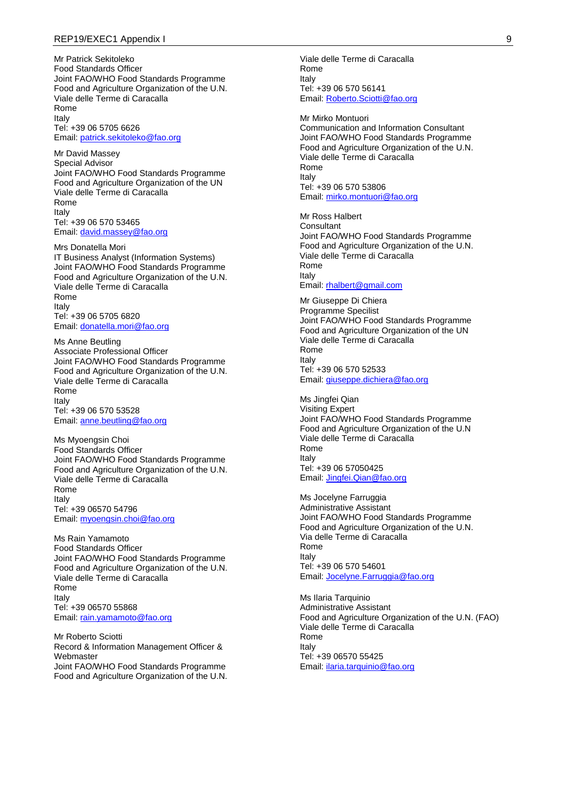#### REP19/EXEC1 Appendix I 9

Mr Patrick Sekitoleko Food Standards Officer Joint FAO/WHO Food Standards Programme Food and Agriculture Organization of the U.N. Viale delle Terme di Caracalla Rome Italy Tel: +39 06 5705 6626 Email: [patrick.sekitoleko@fao.org](mailto:patrick.sekitoleko@fao.org)

Mr David Massey Special Advisor Joint FAO/WHO Food Standards Programme Food and Agriculture Organization of the UN Viale delle Terme di Caracalla Rome Italy Tel: +39 06 570 53465 Email: [david.massey@fao.org](mailto:david.massey@fao.org)

Mrs Donatella Mori IT Business Analyst (Information Systems) Joint FAO/WHO Food Standards Programme Food and Agriculture Organization of the U.N. Viale delle Terme di Caracalla Rome Italy Tel: +39 06 5705 6820 Email: [donatella.mori@fao.org](mailto:donatella.mori@fao.org)

Ms Anne Beutling Associate Professional Officer Joint FAO/WHO Food Standards Programme Food and Agriculture Organization of the U.N. Viale delle Terme di Caracalla Rome Italy Tel: +39 06 570 53528 Email: [anne.beutling@fao.org](mailto:anne.beutling@fao.org)

Ms Myoengsin Choi Food Standards Officer Joint FAO/WHO Food Standards Programme Food and Agriculture Organization of the U.N. Viale delle Terme di Caracalla Rome Italy Tel: +39 06570 54796 Email: [myoengsin.choi@fao.org](mailto:myoengsin.choi@fao.org)

Ms Rain Yamamoto Food Standards Officer Joint FAO/WHO Food Standards Programme Food and Agriculture Organization of the U.N. Viale delle Terme di Caracalla Rome Italy Tel: +39 06570 55868 Email: [rain.yamamoto@fao.org](mailto:rain.yamamoto@fao.org)

Mr Roberto Sciotti Record & Information Management Officer & Webmaster Joint FAO/WHO Food Standards Programme Food and Agriculture Organization of the U.N. Viale delle Terme di Caracalla Rome Italy Tel: +39 06 570 56141 Email: [Roberto.Sciotti@fao.org](mailto:Roberto.Sciotti@fao.org)

Mr Mirko Montuori Communication and Information Consultant Joint FAO/WHO Food Standards Programme Food and Agriculture Organization of the U.N. Viale delle Terme di Caracalla Rome Italy Tel: +39 06 570 53806 Email: [mirko.montuori@fao.org](mailto:mirko.montuori@fao.org)

Mr Ross Halbert **Consultant** Joint FAO/WHO Food Standards Programme Food and Agriculture Organization of the U.N. Viale delle Terme di Caracalla Rome Italy Email: [rhalbert@gmail.com](mailto:rhalbert@gmail.com)

Mr Giuseppe Di Chiera Programme Specilist Joint FAO/WHO Food Standards Programme Food and Agriculture Organization of the UN Viale delle Terme di Caracalla Rome Italy Tel: +39 06 570 52533 Email: [giuseppe.dichiera@fao.org](mailto:giuseppe.dichiera@fao.org)

Ms Jingfei Qian Visiting Expert Joint FAO/WHO Food Standards Programme Food and Agriculture Organization of the U.N Viale delle Terme di Caracalla Rome Italy Tel: +39 06 57050425 Email: [Jingfei.Qian@fao.org](mailto:Jingfei.Qian@fao.org)

Ms Jocelyne Farruggia Administrative Assistant Joint FAO/WHO Food Standards Programme Food and Agriculture Organization of the U.N. Via delle Terme di Caracalla Rome Italy Tel: +39 06 570 54601 Email: [Jocelyne.Farruggia@fao.org](mailto:Jocelyne.Farruggia@fao.org)

Ms Ilaria Tarquinio Administrative Assistant Food and Agriculture Organization of the U.N. (FAO) Viale delle Terme di Caracalla Rome Italy Tel: +39 06570 55425 Email: [ilaria.tarquinio@fao.org](mailto:ilaria.tarquinio@fao.org)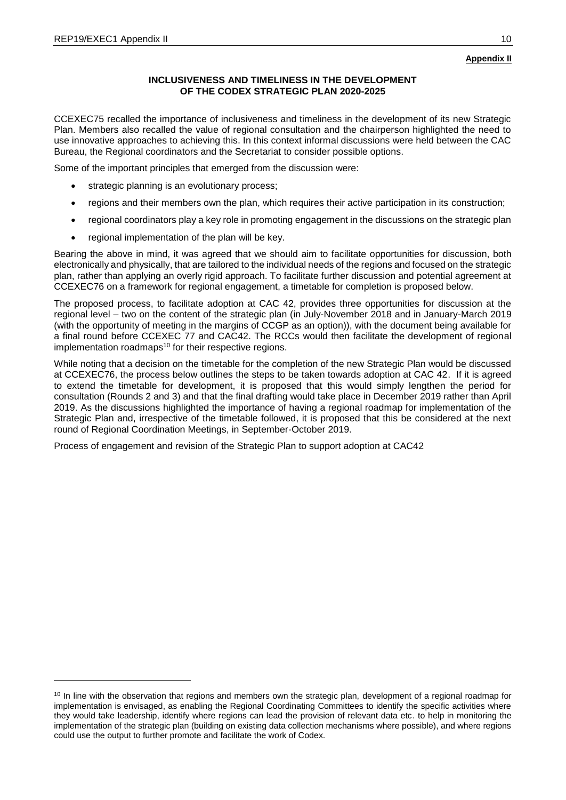# **INCLUSIVENESS AND TIMELINESS IN THE DEVELOPMENT OF THE CODEX STRATEGIC PLAN 2020-2025**

CCEXEC75 recalled the importance of inclusiveness and timeliness in the development of its new Strategic Plan. Members also recalled the value of regional consultation and the chairperson highlighted the need to use innovative approaches to achieving this. In this context informal discussions were held between the CAC Bureau, the Regional coordinators and the Secretariat to consider possible options.

Some of the important principles that emerged from the discussion were:

- strategic planning is an evolutionary process;
- regions and their members own the plan, which requires their active participation in its construction;
- regional coordinators play a key role in promoting engagement in the discussions on the strategic plan
- regional implementation of the plan will be key.

Bearing the above in mind, it was agreed that we should aim to facilitate opportunities for discussion, both electronically and physically, that are tailored to the individual needs of the regions and focused on the strategic plan, rather than applying an overly rigid approach. To facilitate further discussion and potential agreement at CCEXEC76 on a framework for regional engagement, a timetable for completion is proposed below.

The proposed process, to facilitate adoption at CAC 42, provides three opportunities for discussion at the regional level – two on the content of the strategic plan (in July-November 2018 and in January-March 2019 (with the opportunity of meeting in the margins of CCGP as an option)), with the document being available for a final round before CCEXEC 77 and CAC42. The RCCs would then facilitate the development of regional implementation roadmaps<sup>10</sup> for their respective regions.

While noting that a decision on the timetable for the completion of the new Strategic Plan would be discussed at CCEXEC76, the process below outlines the steps to be taken towards adoption at CAC 42. If it is agreed to extend the timetable for development, it is proposed that this would simply lengthen the period for consultation (Rounds 2 and 3) and that the final drafting would take place in December 2019 rather than April 2019. As the discussions highlighted the importance of having a regional roadmap for implementation of the Strategic Plan and, irrespective of the timetable followed, it is proposed that this be considered at the next round of Regional Coordination Meetings, in September-October 2019.

Process of engagement and revision of the Strategic Plan to support adoption at CAC42

 $10$  In line with the observation that regions and members own the strategic plan, development of a regional roadmap for implementation is envisaged, as enabling the Regional Coordinating Committees to identify the specific activities where they would take leadership, identify where regions can lead the provision of relevant data etc. to help in monitoring the implementation of the strategic plan (building on existing data collection mechanisms where possible), and where regions could use the output to further promote and facilitate the work of Codex.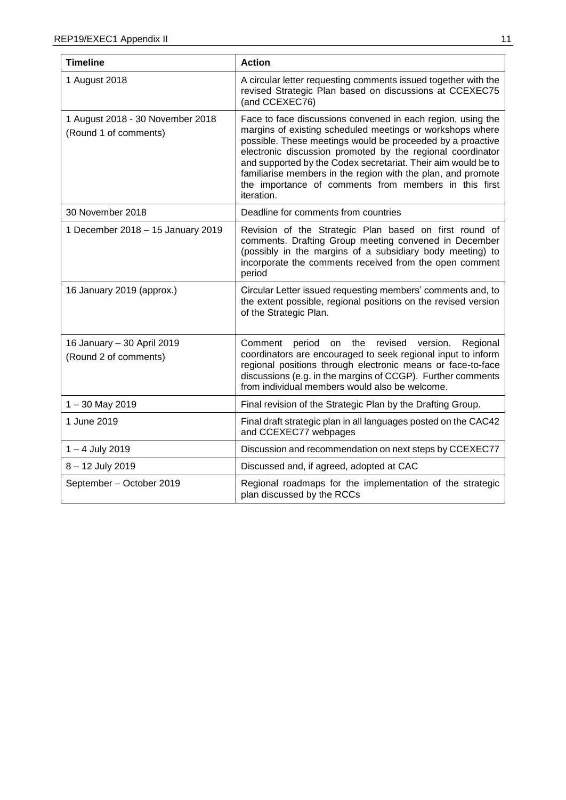è

| <b>Timeline</b>                                           | <b>Action</b>                                                                                                                                                                                                                                                                                                                                                                                                                                                |
|-----------------------------------------------------------|--------------------------------------------------------------------------------------------------------------------------------------------------------------------------------------------------------------------------------------------------------------------------------------------------------------------------------------------------------------------------------------------------------------------------------------------------------------|
| 1 August 2018                                             | A circular letter requesting comments issued together with the<br>revised Strategic Plan based on discussions at CCEXEC75<br>(and CCEXEC76)                                                                                                                                                                                                                                                                                                                  |
| 1 August 2018 - 30 November 2018<br>(Round 1 of comments) | Face to face discussions convened in each region, using the<br>margins of existing scheduled meetings or workshops where<br>possible. These meetings would be proceeded by a proactive<br>electronic discussion promoted by the regional coordinator<br>and supported by the Codex secretariat. Their aim would be to<br>familiarise members in the region with the plan, and promote<br>the importance of comments from members in this first<br>iteration. |
| 30 November 2018                                          | Deadline for comments from countries                                                                                                                                                                                                                                                                                                                                                                                                                         |
| 1 December 2018 - 15 January 2019                         | Revision of the Strategic Plan based on first round of<br>comments. Drafting Group meeting convened in December<br>(possibly in the margins of a subsidiary body meeting) to<br>incorporate the comments received from the open comment<br>period                                                                                                                                                                                                            |
| 16 January 2019 (approx.)                                 | Circular Letter issued requesting members' comments and, to<br>the extent possible, regional positions on the revised version<br>of the Strategic Plan.                                                                                                                                                                                                                                                                                                      |
| 16 January - 30 April 2019<br>(Round 2 of comments)       | period on the<br>revised<br>Regional<br>Comment<br>version.<br>coordinators are encouraged to seek regional input to inform<br>regional positions through electronic means or face-to-face<br>discussions (e.g. in the margins of CCGP). Further comments<br>from individual members would also be welcome.                                                                                                                                                  |
| $1 - 30$ May 2019                                         | Final revision of the Strategic Plan by the Drafting Group.                                                                                                                                                                                                                                                                                                                                                                                                  |
| 1 June 2019                                               | Final draft strategic plan in all languages posted on the CAC42<br>and CCEXEC77 webpages                                                                                                                                                                                                                                                                                                                                                                     |
| 1 - 4 July 2019                                           | Discussion and recommendation on next steps by CCEXEC77                                                                                                                                                                                                                                                                                                                                                                                                      |
| 8 - 12 July 2019                                          | Discussed and, if agreed, adopted at CAC                                                                                                                                                                                                                                                                                                                                                                                                                     |
| September - October 2019                                  | Regional roadmaps for the implementation of the strategic<br>plan discussed by the RCCs                                                                                                                                                                                                                                                                                                                                                                      |